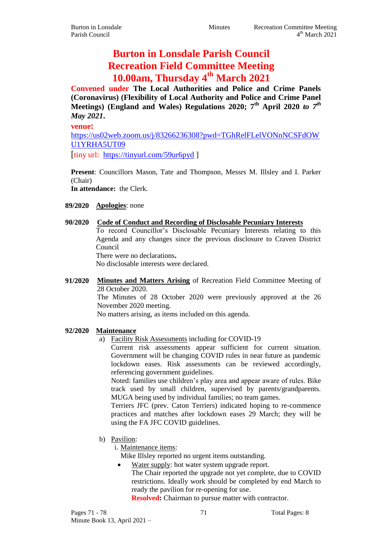# **Burton in Lonsdale Parish Council Recreation Field Committee Meeting 10.00am, Thursday 4th March 2021**

**Convened under The Local Authorities and Police and Crime Panels (Coronavirus) (Flexibility of Local Authority and Police and Crime Panel Meetings) (England and Wales) Regulations 2020; 7th April 2020** *to 7th May 2021***.**

**venue:**

[https://us02web.zoom.us/j/83266236308?pwd=TGhRelFLelVONnNCSFdOW](https://us02web.zoom.us/j/83266236308?pwd=TGhRelFLelVONnNCSFdOWU1YRHA5UT09) [U1YRHA5UT09](https://us02web.zoom.us/j/83266236308?pwd=TGhRelFLelVONnNCSFdOWU1YRHA5UT09)

[tiny url: <https://tinyurl.com/59ur6pyd> ]

**Present**: Councillors Mason, Tate and Thompson, Messrs M. Illsley and I. Parker (Chair)

**In attendance:** the Clerk.

## **89/2020 Apologies**: none

## **90/2020 Code of Conduct and Recording of Disclosable Pecuniary Interests**

To record Councillor's Disclosable Pecuniary Interests relating to this Agenda and any changes since the previous disclosure to Craven District Council

There were no declarations**.**

No disclosable interests were declared.

**91/2020 Minutes and Matters Arising** of Recreation Field Committee Meeting of 28 October 2020.

The Minutes of 28 October 2020 were previously approved at the 26 November 2020 meeting.

No matters arising, as items included on this agenda.

## **92/2020 Maintenance**

a) Facility Risk Assessments including for COVID-19

Current risk assessments appear sufficient for current situation. Government will be changing COVID rules in near future as pandemic lockdown eases. Risk assessments can be reviewed accordingly, referencing government guidelines.

Noted: families use children's play area and appear aware of rules. Bike track used by small children, supervised by parents/grandparents. MUGA being used by individual families; no team games.

Terriers JFC (prev. Caton Terriers) indicated hoping to re-commence practices and matches after lockdown eases 29 March; they will be using the FA JFC COVID guidelines.

b) Pavilion:

i. Maintenance items:

Mike Illsley reported no urgent items outstanding.

• Water supply: hot water system upgrade report. The Chair reported the upgrade not yet complete, due to COVID restrictions. Ideally work should be completed by end March to ready the pavilion for re-opening for use. **Resolved:** Chairman to pursue matter with contractor.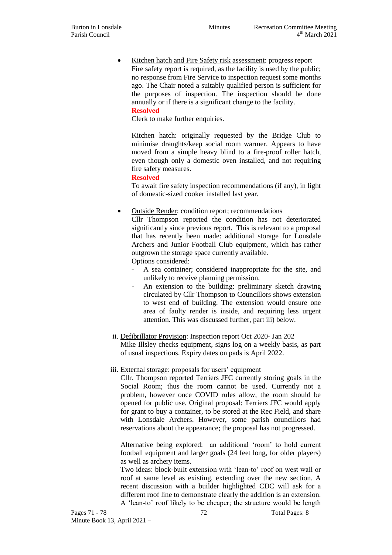• Kitchen hatch and Fire Safety risk assessment: progress report Fire safety report is required, as the facility is used by the public; no response from Fire Service to inspection request some months ago. The Chair noted a suitably qualified person is sufficient for the purposes of inspection. The inspection should be done annually or if there is a significant change to the facility.

## **Resolved**

Clerk to make further enquiries.

Kitchen hatch: originally requested by the Bridge Club to minimise draughts/keep social room warmer. Appears to have moved from a simple heavy blind to a fire-proof roller hatch, even though only a domestic oven installed, and not requiring fire safety measures.

#### **Resolved**

To await fire safety inspection recommendations (if any), in light of domestic-sized cooker installed last year.

Outside Render: condition report; recommendations

Cllr Thompson reported the condition has not deteriorated significantly since previous report. This is relevant to a proposal that has recently been made: additional storage for Lonsdale Archers and Junior Football Club equipment, which has rather outgrown the storage space currently available. Options considered:

- A sea container; considered inappropriate for the site, and unlikely to receive planning permission.
- An extension to the building: preliminary sketch drawing circulated by Cllr Thompson to Councillors shows extension to west end of building. The extension would ensure one area of faulty render is inside, and requiring less urgent attention. This was discussed further, part iii) below.
- ii. Defibrillator Provision: Inspection report Oct 2020- Jan 202 Mike Illsley checks equipment, signs log on a weekly basis, as part of usual inspections. Expiry dates on pads is April 2022.

## iii. External storage: proposals for users' equipment

Cllr. Thompson reported Terriers JFC currently storing goals in the Social Room; thus the room cannot be used. Currently not a problem, however once COVID rules allow, the room should be opened for public use. Original proposal: Terriers JFC would apply for grant to buy a container, to be stored at the Rec Field, and share with Lonsdale Archers. However, some parish councillors had reservations about the appearance; the proposal has not progressed.

Alternative being explored: an additional 'room' to hold current football equipment and larger goals (24 feet long, for older players) as well as archery items.

Two ideas: block-built extension with 'lean-to' roof on west wall or roof at same level as existing, extending over the new section. A recent discussion with a builder highlighted CDC will ask for a different roof line to demonstrate clearly the addition is an extension. A 'lean-to' roof likely to be cheaper; the structure would be length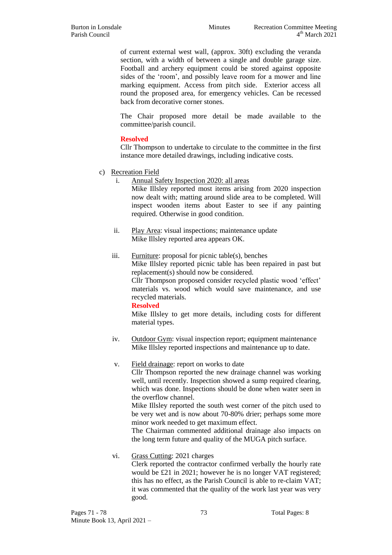of current external west wall, (approx. 30ft) excluding the veranda section, with a width of between a single and double garage size. Football and archery equipment could be stored against opposite sides of the 'room', and possibly leave room for a mower and line marking equipment. Access from pitch side. Exterior access all round the proposed area, for emergency vehicles. Can be recessed back from decorative corner stones.

The Chair proposed more detail be made available to the committee/parish council.

## **Resolved**

Cllr Thompson to undertake to circulate to the committee in the first instance more detailed drawings, including indicative costs.

- c) Recreation Field
	- i. Annual Safety Inspection 2020: all areas

Mike Illsley reported most items arising from 2020 inspection now dealt with; matting around slide area to be completed. Will inspect wooden items about Easter to see if any painting required. Otherwise in good condition.

- ii. Play Area: visual inspections; maintenance update Mike Illsley reported area appears OK.
- iii. Furniture: proposal for picnic table(s), benches Mike Illsley reported picnic table has been repaired in past but replacement(s) should now be considered. Cllr Thompson proposed consider recycled plastic wood 'effect' materials vs. wood which would save maintenance, and use recycled materials.

#### **Resolved**

Mike Illsley to get more details, including costs for different material types.

iv. Outdoor Gym: visual inspection report; equipment maintenance Mike Illsley reported inspections and maintenance up to date.

## v. Field drainage: report on works to date

Cllr Thompson reported the new drainage channel was working well, until recently. Inspection showed a sump required clearing, which was done. Inspections should be done when water seen in the overflow channel.

Mike Illsley reported the south west corner of the pitch used to be very wet and is now about 70-80% drier; perhaps some more minor work needed to get maximum effect.

The Chairman commented additional drainage also impacts on the long term future and quality of the MUGA pitch surface.

## vi. Grass Cutting: 2021 charges

Clerk reported the contractor confirmed verbally the hourly rate would be £21 in 2021; however he is no longer VAT registered; this has no effect, as the Parish Council is able to re-claim VAT; it was commented that the quality of the work last year was very good.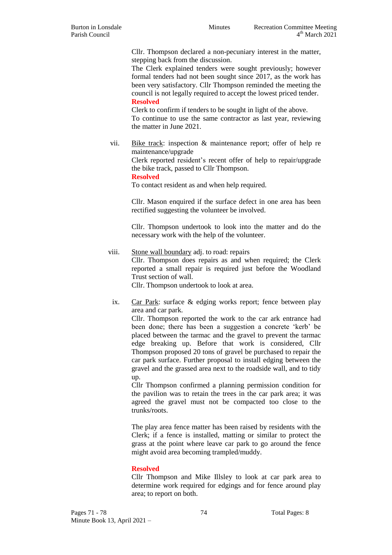Cllr. Thompson declared a non-pecuniary interest in the matter, stepping back from the discussion.

The Clerk explained tenders were sought previously; however formal tenders had not been sought since 2017, as the work has been very satisfactory. Cllr Thompson reminded the meeting the council is not legally required to accept the lowest priced tender. **Resolved**

Clerk to confirm if tenders to be sought in light of the above. To continue to use the same contractor as last year, reviewing the matter in June 2021.

vii. Bike track: inspection & maintenance report; offer of help re maintenance/upgrade

> Clerk reported resident's recent offer of help to repair/upgrade the bike track, passed to Cllr Thompson.

#### **Resolved**

To contact resident as and when help required.

Cllr. Mason enquired if the surface defect in one area has been rectified suggesting the volunteer be involved.

Cllr. Thompson undertook to look into the matter and do the necessary work with the help of the volunteer.

- viii. Stone wall boundary adj. to road: repairs Cllr. Thompson does repairs as and when required; the Clerk reported a small repair is required just before the Woodland Trust section of wall. Cllr. Thompson undertook to look at area.
	- ix. Car Park: surface & edging works report; fence between play area and car park.

Cllr. Thompson reported the work to the car ark entrance had been done; there has been a suggestion a concrete 'kerb' be placed between the tarmac and the gravel to prevent the tarmac edge breaking up. Before that work is considered, Cllr Thompson proposed 20 tons of gravel be purchased to repair the car park surface. Further proposal to install edging between the gravel and the grassed area next to the roadside wall, and to tidy up.

Cllr Thompson confirmed a planning permission condition for the pavilion was to retain the trees in the car park area; it was agreed the gravel must not be compacted too close to the trunks/roots.

The play area fence matter has been raised by residents with the Clerk; if a fence is installed, matting or similar to protect the grass at the point where leave car park to go around the fence might avoid area becoming trampled/muddy.

## **Resolved**

Cllr Thompson and Mike Illsley to look at car park area to determine work required for edgings and for fence around play area; to report on both.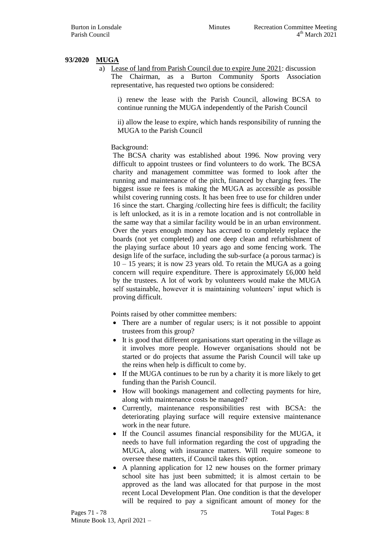## **93/2020 MUGA**

a) Lease of land from Parish Council due to expire June 2021: discussion The Chairman, as a Burton Community Sports Association representative, has requested two options be considered:

i) renew the lease with the Parish Council, allowing BCSA to continue running the MUGA independently of the Parish Council

ii) allow the lease to expire, which hands responsibility of running the MUGA to the Parish Council

## Background:

The BCSA charity was established about 1996. Now proving very difficult to appoint trustees or find volunteers to do work. The BCSA charity and management committee was formed to look after the running and maintenance of the pitch, financed by charging fees. The biggest issue re fees is making the MUGA as accessible as possible whilst covering running costs. It has been free to use for children under 16 since the start. Charging /collecting hire fees is difficult; the facility is left unlocked, as it is in a remote location and is not controllable in the same way that a similar facility would be in an urban environment. Over the years enough money has accrued to completely replace the boards (not yet completed) and one deep clean and refurbishment of the playing surface about 10 years ago and some fencing work. The design life of the surface, including the sub-surface (a porous tarmac) is 10 – 15 years; it is now 23 years old. To retain the MUGA as a going concern will require expenditure. There is approximately £6,000 held by the trustees. A lot of work by volunteers would make the MUGA self sustainable, however it is maintaining volunteers' input which is proving difficult.

Points raised by other committee members:

- There are a number of regular users; is it not possible to appoint trustees from this group?
- It is good that different organisations start operating in the village as it involves more people. However organisations should not be started or do projects that assume the Parish Council will take up the reins when help is difficult to come by.
- If the MUGA continues to be run by a charity it is more likely to get funding than the Parish Council.
- How will bookings management and collecting payments for hire, along with maintenance costs be managed?
- Currently, maintenance responsibilities rest with BCSA: the deteriorating playing surface will require extensive maintenance work in the near future.
- If the Council assumes financial responsibility for the MUGA, it needs to have full information regarding the cost of upgrading the MUGA, along with insurance matters. Will require someone to oversee these matters, if Council takes this option.
- A planning application for 12 new houses on the former primary school site has just been submitted; it is almost certain to be approved as the land was allocated for that purpose in the most recent Local Development Plan. One condition is that the developer will be required to pay a significant amount of money for the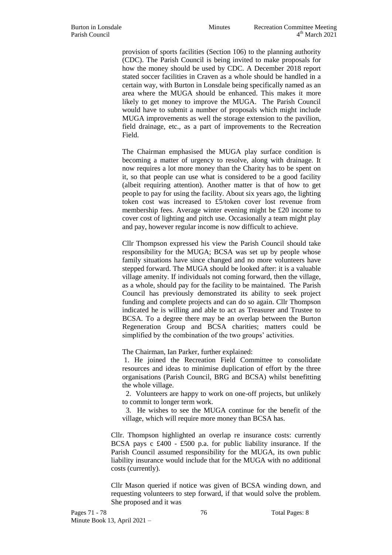provision of sports facilities (Section 106) to the planning authority (CDC). The Parish Council is being invited to make proposals for how the money should be used by CDC. A December 2018 report stated soccer facilities in Craven as a whole should be handled in a certain way, with Burton in Lonsdale being specifically named as an area where the MUGA should be enhanced. This makes it more likely to get money to improve the MUGA. The Parish Council would have to submit a number of proposals which might include MUGA improvements as well the storage extension to the pavilion, field drainage, etc., as a part of improvements to the Recreation Field.

The Chairman emphasised the MUGA play surface condition is becoming a matter of urgency to resolve, along with drainage. It now requires a lot more money than the Charity has to be spent on it, so that people can use what is considered to be a good facility (albeit requiring attention). Another matter is that of how to get people to pay for using the facility. About six years ago, the lighting token cost was increased to £5/token cover lost revenue from membership fees. Average winter evening might be £20 income to cover cost of lighting and pitch use. Occasionally a team might play and pay, however regular income is now difficult to achieve.

Cllr Thompson expressed his view the Parish Council should take responsibility for the MUGA; BCSA was set up by people whose family situations have since changed and no more volunteers have stepped forward. The MUGA should be looked after: it is a valuable village amenity. If individuals not coming forward, then the village, as a whole, should pay for the facility to be maintained. The Parish Council has previously demonstrated its ability to seek project funding and complete projects and can do so again. Cllr Thompson indicated he is willing and able to act as Treasurer and Trustee to BCSA. To a degree there may be an overlap between the Burton Regeneration Group and BCSA charities; matters could be simplified by the combination of the two groups' activities.

The Chairman, Ian Parker, further explained:

1. He joined the Recreation Field Committee to consolidate resources and ideas to minimise duplication of effort by the three organisations (Parish Council, BRG and BCSA) whilst benefitting the whole village.

 2. Volunteers are happy to work on one-off projects, but unlikely to commit to longer term work.

 3. He wishes to see the MUGA continue for the benefit of the village, which will require more money than BCSA has.

Cllr. Thompson highlighted an overlap re insurance costs: currently BCSA pays c £400 - £500 p.a. for public liability insurance. If the Parish Council assumed responsibility for the MUGA, its own public liability insurance would include that for the MUGA with no additional costs (currently).

Cllr Mason queried if notice was given of BCSA winding down, and requesting volunteers to step forward, if that would solve the problem. She proposed and it was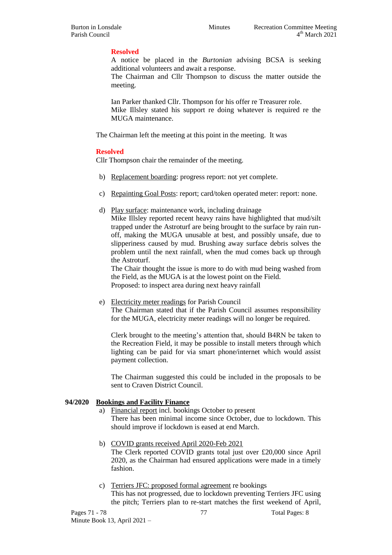## **Resolved**

A notice be placed in the *Burtonian* advising BCSA is seeking additional volunteers and await a response.

The Chairman and Cllr Thompson to discuss the matter outside the meeting.

Ian Parker thanked Cllr. Thompson for his offer re Treasurer role. Mike Illsley stated his support re doing whatever is required re the MUGA maintenance.

The Chairman left the meeting at this point in the meeting. It was

#### **Resolved**

Cllr Thompson chair the remainder of the meeting.

- b) Replacement boarding: progress report: not yet complete.
- c) Repainting Goal Posts: report; card/token operated meter: report: none.
- d) Play surface: maintenance work, including drainage

Mike Illsley reported recent heavy rains have highlighted that mud/silt trapped under the Astroturf are being brought to the surface by rain runoff, making the MUGA unusable at best, and possibly unsafe, due to slipperiness caused by mud. Brushing away surface debris solves the problem until the next rainfall, when the mud comes back up through the Astroturf.

The Chair thought the issue is more to do with mud being washed from the Field, as the MUGA is at the lowest point on the Field. Proposed: to inspect area during next heavy rainfall

e) Electricity meter readings for Parish Council

The Chairman stated that if the Parish Council assumes responsibility for the MUGA, electricity meter readings will no longer be required.

Clerk brought to the meeting's attention that, should B4RN be taken to the Recreation Field, it may be possible to install meters through which lighting can be paid for via smart phone/internet which would assist payment collection.

The Chairman suggested this could be included in the proposals to be sent to Craven District Council.

## **94/2020 Bookings and Facility Finance**

- Financial report incl. bookings October to present There has been minimal income since October, due to lockdown. This should improve if lockdown is eased at end March.
- b) COVID grants received April 2020-Feb 2021

The Clerk reported COVID grants total just over £20,000 since April 2020, as the Chairman had ensured applications were made in a timely fashion.

c) Terriers JFC: proposed formal agreement re bookings This has not progressed, due to lockdown preventing Terriers JFC using the pitch; Terriers plan to re-start matches the first weekend of April,